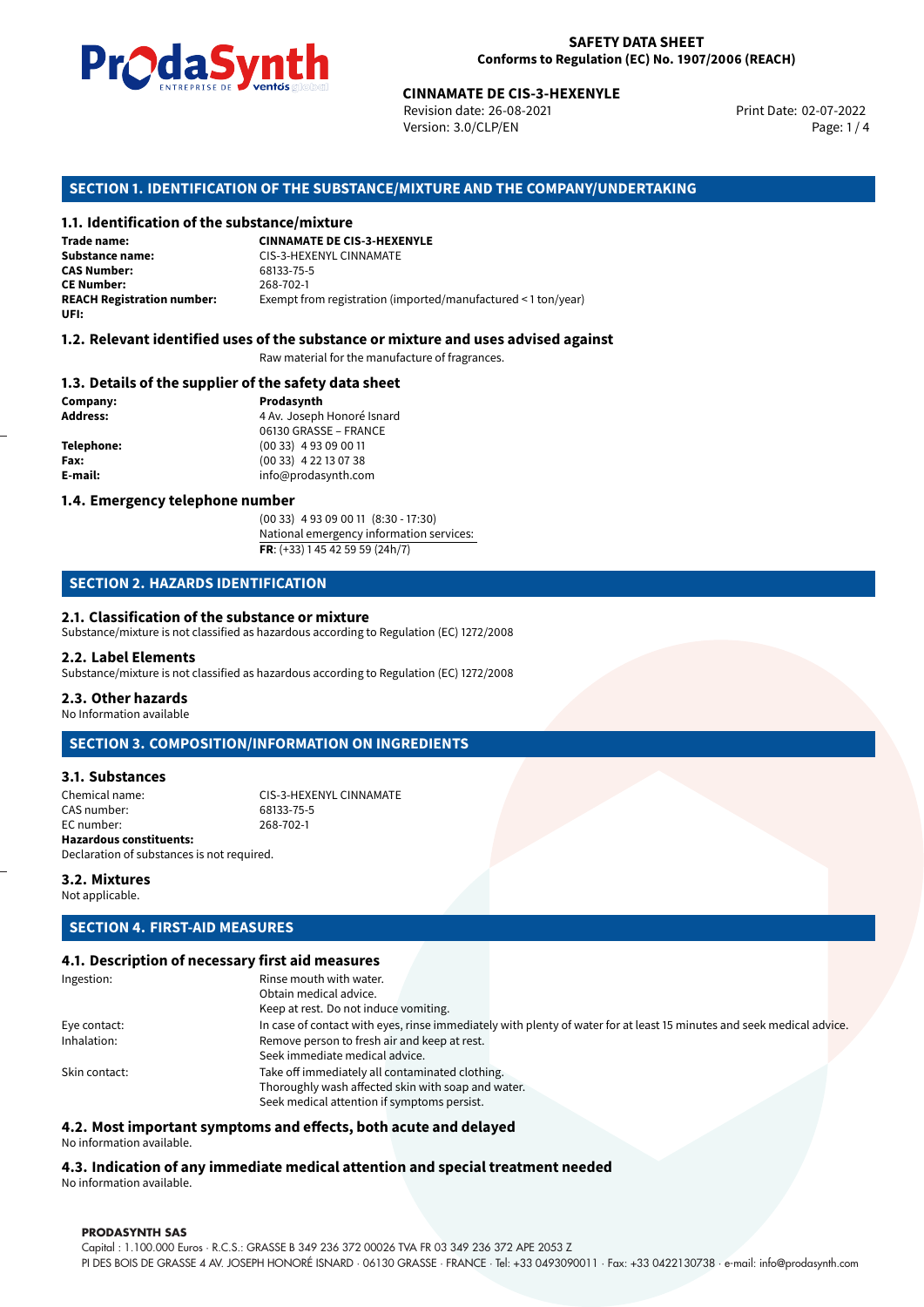

Revision date: 26-08-2021 Version: 3.0/CLP/EN Page: 1 / 4

Print Date: 02-07-2022

# **CINNAMATE DE CIS-3-HEXENYLE**<br>
Revision date: 26-08-2021<br>
Version: 3.0/CLP/EN<br> **OF THE SUBSTANCE/MIXTURE AND THE COMPANY/UN**<br> **tance/mixture**<br>
CINNAMATE DE CIS-3-HEXENYLE **SECTION 1. IDENTIFICATION OF THE SUBSTANCE/MIXTURE AND THE COMPANY/UNDERTAKING**

### **1.1. Identification of the substance/mixture**

**Trade name: Substance name:** CIS-3-HEXENYL CINNAMATE<br>
CAS Number: G8133-75-5 **CAS Number:** 68133-75-5 **CE Number:** 268-702-1<br>**REACH Registration number:** Exempt from Exempt from registration (imported/manufactured < 1 ton/year) **UFI:**

### **1.2. Relevant identified uses of the substance or mixture and uses advised against**

Raw material for the manufacture of fragrances.

### **1.3. Details of the supplier of the safety data sheet**

**Company: Prodasynth Address: Address: Prodasynth Address: Prodasynth Address: Prodasynth Address: Prodasynth Address: Prodasynth Address: Prodasynth Address: Prodasynth Address: Prodasynth Address: P Address:** 4 Av. Joseph Honoré Isnard 06130 GRASSE – FRANCE **Telephone:** (00 33) 4 93 09 00 11 **Fax:** (00 33) 4 22 13 07 38 **E-mail:** info@prodasynth.com

### **1.4. Emergency telephone number**

(00 33) 4 93 09 00 11 (8:30 - 17:30) National emergency information services: **FR**: (+33) 1 45 42 59 59 (24h/7)

### **SECTION 2. HAZARDS IDENTIFICATION**

### **2.1. Classification of the substance or mixture**

Substance/mixture is not classified as hazardous according to Regulation (EC) 1272/2008

### **2.2. Label Elements**

Substance/mixture is not classified as hazardous according to Regulation (EC) 1272/2008

### **2.3. Other hazards**

No Information available

### **SECTION 3. COMPOSITION/INFORMATION ON INGREDIENTS**

### **3.1. Substances**

Chemical name:<br>
CAS number:<br>
G8133-75-5<br>
G8133-75-5 CAS number: EC number: 268-702-1 **Hazardous constituents:** Declaration of substances is not required.

### **3.2. Mixtures**

Not applicable.

### **SECTION 4. FIRST-AID MEASURES**

### **4.1. Description of necessary first aid measures**

| Ingestion:    | Rinse mouth with water.                                                                                               |  |  |  |
|---------------|-----------------------------------------------------------------------------------------------------------------------|--|--|--|
|               | Obtain medical advice.                                                                                                |  |  |  |
|               | Keep at rest. Do not induce vomiting.                                                                                 |  |  |  |
| Eye contact:  | In case of contact with eyes, rinse immediately with plenty of water for at least 15 minutes and seek medical advice. |  |  |  |
| Inhalation:   | Remove person to fresh air and keep at rest.                                                                          |  |  |  |
|               | Seek immediate medical advice.                                                                                        |  |  |  |
| Skin contact: | Take off immediately all contaminated clothing.                                                                       |  |  |  |
|               | Thoroughly wash affected skin with soap and water.                                                                    |  |  |  |
|               | Seek medical attention if symptoms persist.                                                                           |  |  |  |

### **4.2. Most important symptoms and effects, both acute and delayed** No information available.

**4.3. Indication of any immediate medical attention and special treatment needed** No information available.

### **PRODASYNTH SAS**

Capital : 1.100.000 Euros · R.C.S.: GRASSE B 349 236 372 00026 TVA FR 03 349 236 372 APE 2053 Z PI DES BOIS DE GRASSE 4 AV. JOSEPH HONORÉ ISNARD · 06130 GRASSE · FRANCE · Tel: +33 0493090011 · Fax: +33 0422130738 · e-mail: info@prodasynth.com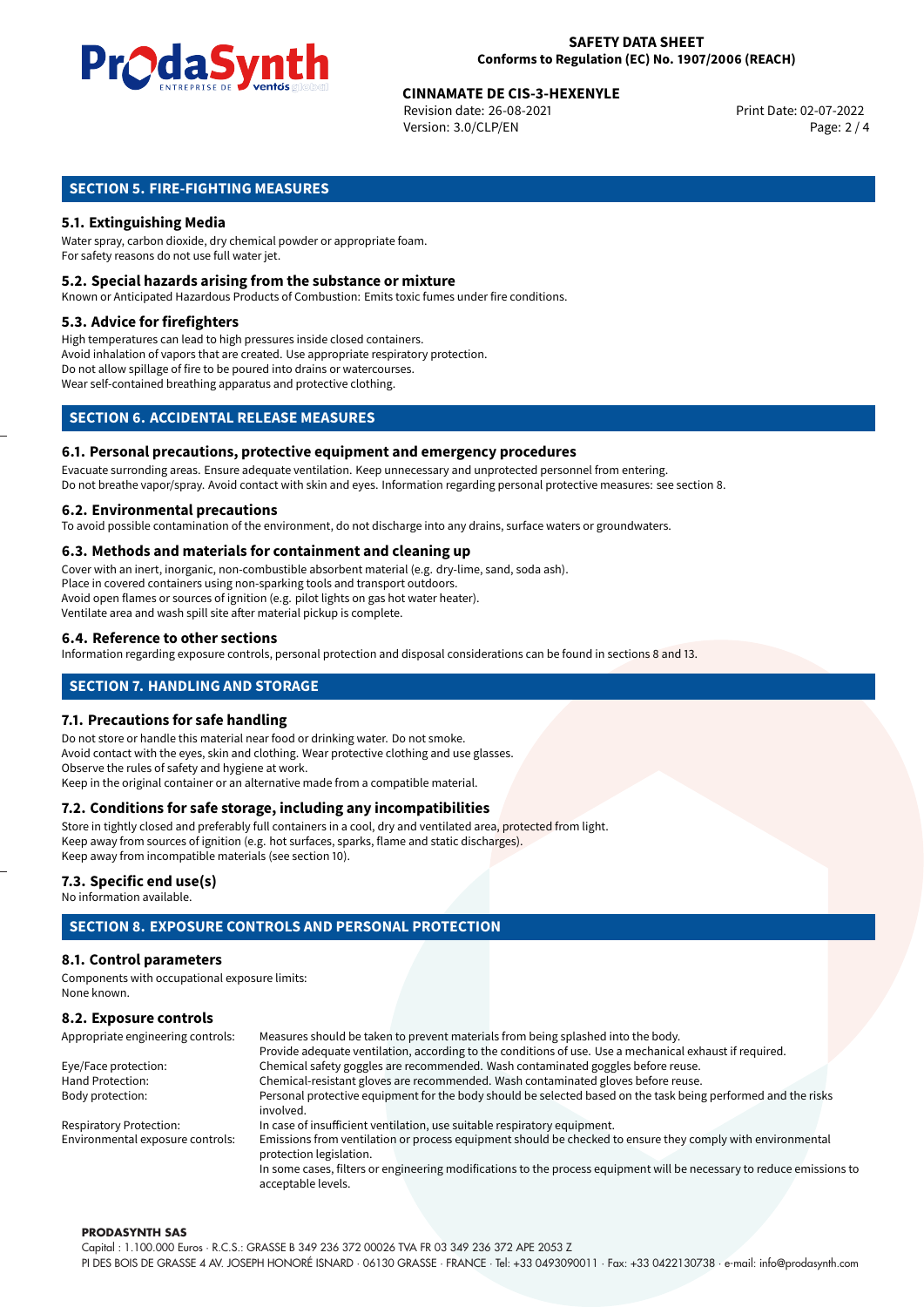

## **CINNAMATE DE CIS-3-HEXENYLE**<br>
Revision date: 26-08-2021<br>
Print Date: 02-07-2022

Revision date: 26-08-2021 Version: 3.0/CLP/EN Page: 2 / 4

### **SECTION 5. FIRE-FIGHTING MEASURES**

### **5.1. Extinguishing Media**

Water spray, carbon dioxide, dry chemical powder or appropriate foam. For safety reasons do not use full water jet.

### **5.2. Special hazards arising from the substance or mixture**

Known or Anticipated Hazardous Products of Combustion: Emits toxic fumes under fire conditions.

### **5.3. Advice for firefighters**

High temperatures can lead to high pressures inside closed containers. Avoid inhalation of vapors that are created. Use appropriate respiratory protection. Do not allow spillage of fire to be poured into drains or watercourses. Wear self-contained breathing apparatus and protective clothing.

### **SECTION 6. ACCIDENTAL RELEASE MEASURES**

### **6.1. Personal precautions, protective equipment and emergency procedures**

Evacuate surronding areas. Ensure adequate ventilation. Keep unnecessary and unprotected personnel from entering. Do not breathe vapor/spray. Avoid contact with skin and eyes. Information regarding personal protective measures: see section 8.

### **6.2. Environmental precautions**

To avoid possible contamination of the environment, do not discharge into any drains, surface waters or groundwaters.

### **6.3. Methods and materials for containment and cleaning up**

Cover with an inert, inorganic, non-combustible absorbent material (e.g. dry-lime, sand, soda ash). Place in covered containers using non-sparking tools and transport outdoors. Avoid open flames or sources of ignition (e.g. pilot lights on gas hot water heater). Ventilate area and wash spill site after material pickup is complete.

### **6.4. Reference to other sections**

Information regarding exposure controls, personal protection and disposal considerations can be found in sections 8 and 13.

### **SECTION 7. HANDLING AND STORAGE**

### **7.1. Precautions for safe handling**

Do not store or handle this material near food or drinking water. Do not smoke. Avoid contact with the eyes, skin and clothing. Wear protective clothing and use glasses. Observe the rules of safety and hygiene at work. Keep in the original container or an alternative made from a compatible material.

### **7.2. Conditions for safe storage, including any incompatibilities**

Store in tightly closed and preferably full containers in a cool, dry and ventilated area, protected from light. Keep away from sources of ignition (e.g. hot surfaces, sparks, flame and static discharges). Keep away from incompatible materials (see section 10).

### **7.3. Specific end use(s)**

No information available.

### **SECTION 8. EXPOSURE CONTROLS AND PERSONAL PROTECTION**

### **8.1. Control parameters**

Components with occupational exposure limits: None known.

### **8.2. Exposure controls**

| Appropriate engineering controls: | Measures should be taken to prevent materials from being splashed into the body.                                                            |  |  |
|-----------------------------------|---------------------------------------------------------------------------------------------------------------------------------------------|--|--|
|                                   | Provide adequate ventilation, according to the conditions of use. Use a mechanical exhaust if required.                                     |  |  |
| Eye/Face protection:              | Chemical safety goggles are recommended. Wash contaminated goggles before reuse.                                                            |  |  |
| Hand Protection:                  | Chemical-resistant gloves are recommended. Wash contaminated gloves before reuse.                                                           |  |  |
| Body protection:                  | Personal protective equipment for the body should be selected based on the task being performed and the risks                               |  |  |
|                                   | involved.                                                                                                                                   |  |  |
| <b>Respiratory Protection:</b>    | In case of insufficient ventilation, use suitable respiratory equipment.                                                                    |  |  |
| Environmental exposure controls:  | Emissions from ventilation or process equipment should be checked to ensure they comply with environmental<br>protection legislation.       |  |  |
|                                   | In some cases, filters or engineering modifications to the process equipment will be necessary to reduce emissions to<br>acceptable levels. |  |  |

### **PRODASYNTH SAS**

Capital : 1.100.000 Euros · R.C.S.: GRASSE B 349 236 372 00026 TVA FR 03 349 236 372 APE 2053 Z PI DES BOIS DE GRASSE 4 AV. JOSEPH HONORÉ ISNARD · 06130 GRASSE · FRANCE · Tel: +33 0493090011 · Fax: +33 0422130738 · e-mail: info@prodasynth.com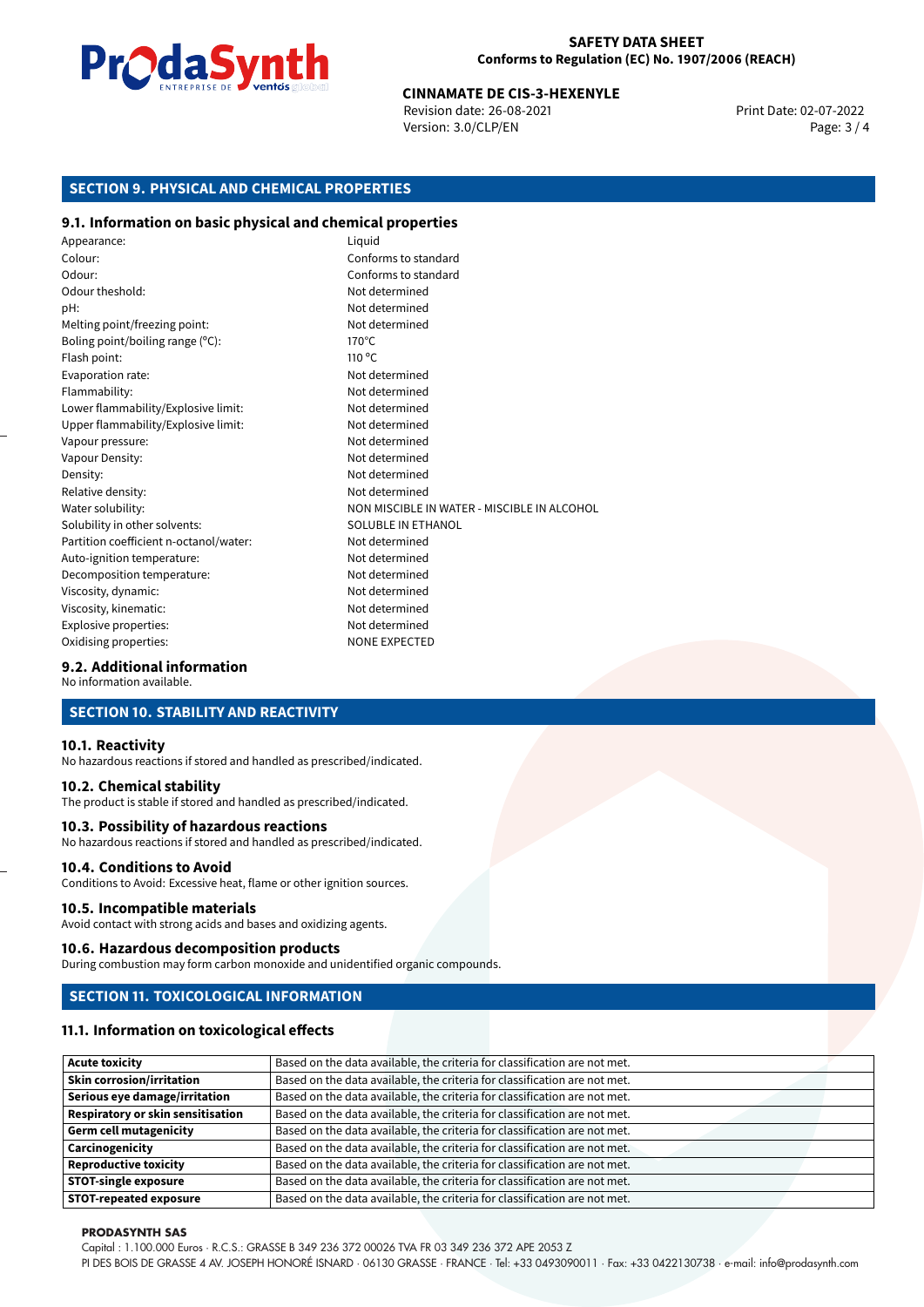

## **CINNAMATE DE CIS-3-HEXENYLE**<br>
Revision date: 26-08-2021<br>
Print Date: 02-07-2022

Revision date: 26-08-2021 Version: 3.0/CLP/EN Page: 3 / 4

### **SECTION 9. PHYSICAL AND CHEMICAL PROPERTIES**

### **9.1. Information on basic physical and chemical properties**

Appearance: Liquid Colour: Conforms to standard Odour: Conforms to standard Odour theshold: Not determined pH: Not determined Melting point/freezing point: Not determined Boling point/boiling range (°C): 170°C Flash point: 110 °C Evaporation rate: Not determined Flammability: Not determined Lower flammability/Explosive limit: Not determined Upper flammability/Explosive limit: Not determined Vapour pressure: Vapour pressure: Not determined Vapour Density: Not determined Density: Not determined Relative density: Not determined Water solubility: Water solubility: NON MISCIBLE IN WATER - MISCIBLE IN ALCOHOL Solubility in other solvents: SOLUBLE IN ETHANOL Partition coefficient n-octanol/water: Not determined Auto-ignition temperature: Not determined Decomposition temperature: Not determined Viscosity, dynamic:  $\blacksquare$ Viscosity, kinematic: Not determined Explosive properties: Not determined Oxidising properties: NONE EXPECTED

### **9.2. Additional information**

No information available.

### **SECTION 10. STABILITY AND REACTIVITY**

### **10.1. Reactivity**

No hazardous reactions if stored and handled as prescribed/indicated.

### **10.2. Chemical stability**

The product is stable if stored and handled as prescribed/indicated.

### **10.3. Possibility of hazardous reactions**

No hazardous reactions if stored and handled as prescribed/indicated.

### **10.4. Conditions to Avoid**

Conditions to Avoid: Excessive heat, flame or other ignition sources.

### **10.5. Incompatible materials**

Avoid contact with strong acids and bases and oxidizing agents.

### **10.6. Hazardous decomposition products**

During combustion may form carbon monoxide and unidentified organic compounds.

### **SECTION 11. TOXICOLOGICAL INFORMATION**

### **11.1. Information on toxicological effects**

| <b>Acute toxicity</b>                    | Based on the data available, the criteria for classification are not met. |
|------------------------------------------|---------------------------------------------------------------------------|
| <b>Skin corrosion/irritation</b>         | Based on the data available, the criteria for classification are not met. |
| Serious eye damage/irritation            | Based on the data available, the criteria for classification are not met. |
| <b>Respiratory or skin sensitisation</b> | Based on the data available, the criteria for classification are not met. |
| <b>Germ cell mutagenicity</b>            | Based on the data available, the criteria for classification are not met. |
| Carcinogenicity                          | Based on the data available, the criteria for classification are not met. |
| <b>Reproductive toxicity</b>             | Based on the data available, the criteria for classification are not met. |
| <b>STOT-single exposure</b>              | Based on the data available, the criteria for classification are not met. |
| <b>STOT-repeated exposure</b>            | Based on the data available, the criteria for classification are not met. |

### **PRODASYNTH SAS**

Capital : 1.100.000 Euros · R.C.S.: GRASSE B 349 236 372 00026 TVA FR 03 349 236 372 APE 2053 Z

PI DES BOIS DE GRASSE 4 AV. JOSEPH HONORÉ ISNARD · 06130 GRASSE · FRANCE · Tel: +33 0493090011 · Fax: +33 0422130738 · e-mail: info@prodasynth.com